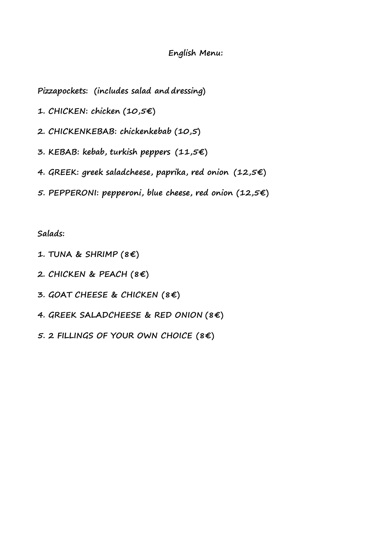## **English Menu:**

**Pizzapockets: (includes salad and dressing)**

- **1. CHICKEN: chicken (10,5€)**
- **2. CHICKENKEBAB: chickenkebab (10,5)**
- **3. KEBAB: kebab, turkish peppers (11,5€)**
- **4. GREEK: greek saladcheese, paprika, red onion (12,5€)**
- **5. PEPPERONI: pepperoni, blue cheese, red onion (12,5€)**

## **Salads:**

- **1. TUNA & SHRIMP (8€)**
- **2. CHICKEN & PEACH (8€)**
- **3. GOAT CHEESE & CHICKEN (8€)**
- **4. GREEK SALADCHEESE & RED ONION (8€)**
- **5. 2 FILLINGS OF YOUR OWN CHOICE (8€)**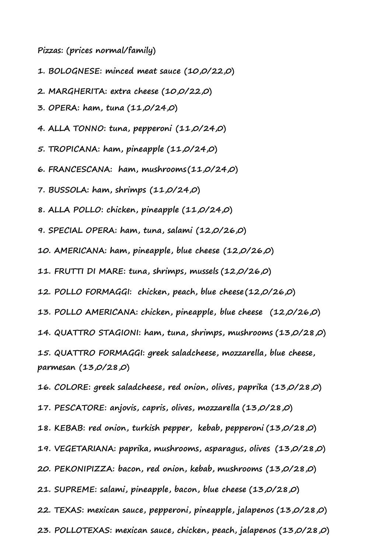**Pizzas: (prices normal/family)**

- **1. BOLOGNESE: minced meat sauce (10,0/22,0)**
- **2. MARGHERITA: extra cheese (10,0/22,0)**
- **3. OPERA: ham, tuna (11,0/24,0)**
- **4. ALLA TONNO: tuna, pepperoni (11,0/24,0)**
- **5. TROPICANA: ham, pineapple (11,0/24,0)**
- **6. FRANCESCANA: ham, mushrooms (11,0/24,0)**
- **7. BUSSOLA: ham, shrimps (11,0/24,0)**
- **8. ALLA POLLO: chicken, pineapple (11,0/24,0)**
- **9. SPECIAL OPERA: ham, tuna, salami (12,0/26,0)**
- **10. AMERICANA: ham, pineapple, blue cheese (12,0/26,0)**
- **11. FRUTTI DI MARE: tuna, shrimps, mussels (12,0/26,0)**
- **12. POLLO FORMAGGI: chicken, peach, blue cheese (12,0/26,0)**
- **13. POLLO AMERICANA: chicken, pineapple, blue cheese (12,0/26,0)**
- **14. QUATTRO STAGIONI: ham, tuna, shrimps, mushrooms (13,0/28,0)**
- **15. QUATTRO FORMAGGI: greek saladcheese, mozzarella, blue cheese, parmesan (13,0/28,0)**
- **16. COLORE: greek saladcheese, red onion, olives, paprika (13,0/28,0)**
- **17. PESCATORE: anjovis, capris, olives, mozzarella (13,0/28,0)**
- **18. KEBAB: red onion, turkish pepper, kebab, pepperoni (13,0/28,0)**
- **19. VEGETARIANA: paprika, mushrooms, asparagus, olives (13,0/28,0)**
- **20. PEKONIPIZZA: bacon, red onion, kebab, mushrooms (13,0/28,0)**
- **21. SUPREME: salami, pineapple, bacon, blue cheese (13,0/28,0)**
- **22. TEXAS: mexican sauce, pepperoni, pineapple, jalapenos (13,0/28,0)**
- **23. POLLOTEXAS: mexican sauce, chicken, peach, jalapenos (13,0/28,0)**